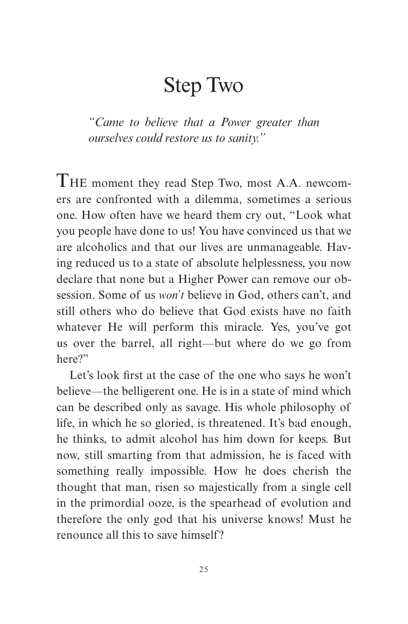## Step Two

*"Came to believe that a Power greater than ourselves could restore us to sanity."*

THE moment they read Step Two, most A.A. newcomers are confronted with a dilemma, sometimes a serious one. How often have we heard them cry out, "Look what you people have done to us! You have convinced us that we are alcoholics and that our lives are unmanageable. Having reduced us to a state of absolute helplessness, you now declare that none but a Higher Power can remove our obsession. Some of us *won't* believe in God, others can't, and still others who do believe that God exists have no faith whatever He will perform this miracle. Yes, you've got us over the barrel, all right—but where do we go from here?"

Let's look first at the case of the one who says he won't believe—the belligerent one. He is in a state of mind which can be described only as savage. His whole philosophy of life, in which he so gloried, is threatened. It's bad enough, he thinks, to admit alcohol has him down for keeps. But now, still smarting from that admission, he is faced with something really impossible. How he does cherish the thought that man, risen so majestically from a single cell in the primordial ooze, is the spearhead of evolution and therefore the only god that his universe knows! Must he renounce all this to save himself?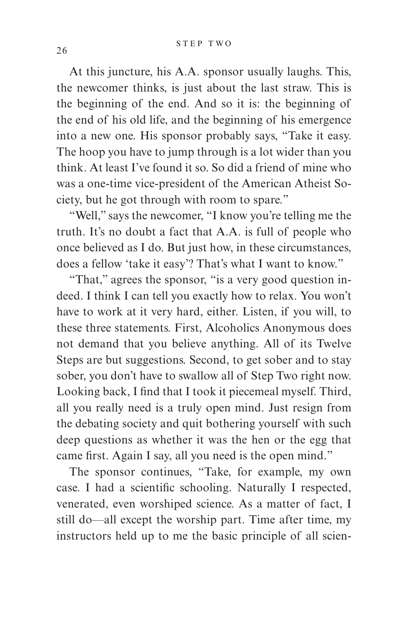At this juncture, his A.A. sponsor usually laughs. This, the newcomer thinks, is just about the last straw. This is the beginning of the end. And so it is: the beginning of the end of his old life, and the beginning of his emergence into a new one. His sponsor probably says, "Take it easy. The hoop you have to jump through is a lot wider than you think. At least I've found it so. So did a friend of mine who was a one-time vice-president of the American Atheist Society, but he got through with room to spare."

"Well," says the newcomer, "I know you're telling me the truth. It's no doubt a fact that A.A. is full of people who once believed as I do. But just how, in these circumstances, does a fellow 'take it easy'? That's what I want to know."

"That," agrees the sponsor, "is a very good question indeed. I think I can tell you exactly how to relax. You won't have to work at it very hard, either. Listen, if you will, to these three statements. First, Alcoholics Anonymous does not demand that you believe anything. All of its Twelve Steps are but suggestions. Second, to get sober and to stay sober, you don't have to swallow all of Step Two right now. Looking back, I find that I took it piecemeal myself. Third, all you really need is a truly open mind. Just resign from the debating society and quit bothering yourself with such deep questions as whether it was the hen or the egg that came first. Again I say, all you need is the open mind."

The sponsor continues, "Take, for example, my own case. I had a scientific schooling. Naturally I respected, venerated, even worshiped science. As a matter of fact, I still do—all except the worship part. Time after time, my instructors held up to me the basic principle of all scien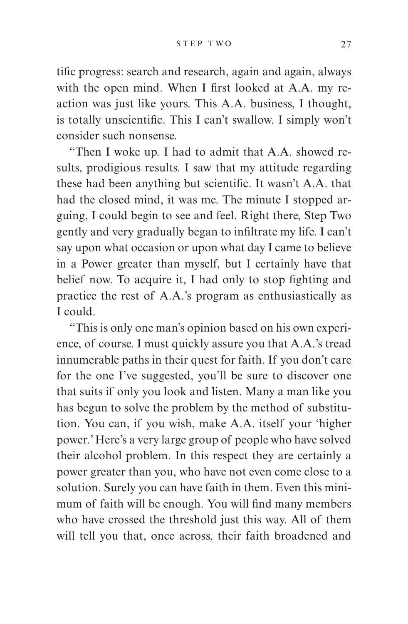tific progress: search and research, again and again, always with the open mind. When I first looked at  $A.A.$  my reaction was just like yours. This A.A. business, I thought, is totally unscientific. This I can't swallow. I simply won't consider such nonsense.

"Then I woke up. I had to admit that A.A. showed results, prodigious results. I saw that my attitude regarding these had been anything but scientific. It wasn't A.A. that had the closed mind, it was me. The minute I stopped arguing, I could begin to see and feel. Right there, Step Two gently and very gradually began to infiltrate my life. I can't say upon what occasion or upon what day I came to believe in a Power greater than myself, but I certainly have that belief now. To acquire it, I had only to stop fighting and practice the rest of A.A.'s program as enthusiastically as I could.

"This is only one man's opinion based on his own experience, of course. I must quickly assure you that A.A.'s tread innumerable paths in their quest for faith. If you don't care for the one I've suggested, you'll be sure to discover one that suits if only you look and listen. Many a man like you has begun to solve the problem by the method of substitution. You can, if you wish, make A.A. itself your 'higher power.' Here's a very large group of people who have solved their alcohol problem. In this respect they are certainly a power greater than you, who have not even come close to a solution. Surely you can have faith in them. Even this minimum of faith will be enough. You will find many members who have crossed the threshold just this way. All of them will tell you that, once across, their faith broadened and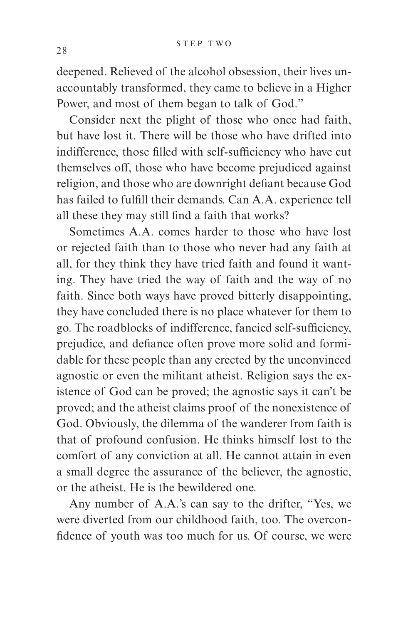deepened. Relieved of the alcohol obsession, their lives unaccountably transformed, they came to believe in a Higher Power, and most of them began to talk of God."

Consider next the plight of those who once had faith, but have lost it. There will be those who have drifted into indifference, those filled with self-sufficiency who have cut themselves off, those who have become prejudiced against religion, and those who are downright defiant because God has failed to fulfill their demands. Can A.A. experience tell all these they may still find a faith that works?

Sometimes A.A. comes harder to those who have lost or rejected faith than to those who never had any faith at all, for they think they have tried faith and found it wanting. They have tried the way of faith and the way of no faith. Since both ways have proved bitterly disappointing, they have concluded there is no place whatever for them to go. The roadblocks of indifference, fancied self-sufficiency, prejudice, and defiance often prove more solid and formidable for these people than any erected by the unconvinced agnostic or even the militant atheist. Religion says the existence of God can be proved; the agnostic says it can't be proved; and the atheist claims proof of the nonexistence of God. Obviously, the dilemma of the wanderer from faith is that of profound confusion. He thinks himself lost to the comfort of any conviction at all. He cannot attain in even a small degree the assurance of the believer, the agnostic, or the atheist. He is the bewildered one.

Any number of A.A.'s can say to the drifter, "Yes, we were diverted from our childhood faith, too. The overconfidence of youth was too much for us. Of course, we were

28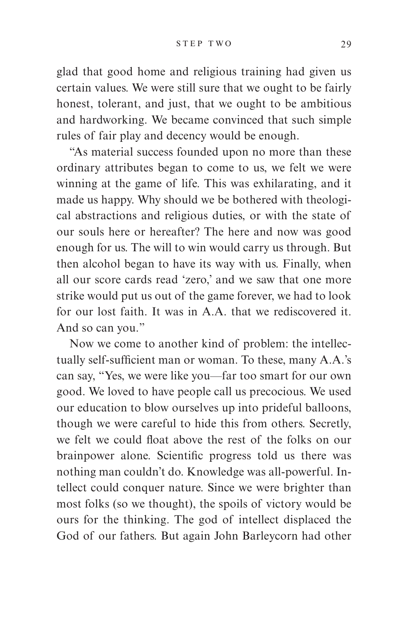glad that good home and religious training had given us certain values. We were still sure that we ought to be fairly honest, tolerant, and just, that we ought to be ambitious and hardworking. We became convinced that such simple rules of fair play and decency would be enough.

"As material success founded upon no more than these ordinary attributes began to come to us, we felt we were winning at the game of life. This was exhilarating, and it made us happy. Why should we be bothered with theological abstractions and religious duties, or with the state of our souls here or hereafter? The here and now was good enough for us. The will to win would carry us through. But then alcohol began to have its way with us. Finally, when all our score cards read 'zero,' and we saw that one more strike would put us out of the game forever, we had to look for our lost faith. It was in A.A. that we rediscovered it. And so can you."

Now we come to another kind of problem: the intellectually self-sufficient man or woman. To these, many A.A.'s can say, "Yes, we were like you—far too smart for our own good. We loved to have people call us precocious. We used our education to blow ourselves up into prideful balloons, though we were careful to hide this from others. Secretly, we felt we could float above the rest of the folks on our brainpower alone. Scientific progress told us there was nothing man couldn't do. Knowledge was all-powerful. Intellect could conquer nature. Since we were brighter than most folks (so we thought), the spoils of victory would be ours for the thinking. The god of intellect displaced the God of our fathers. But again John Barleycorn had other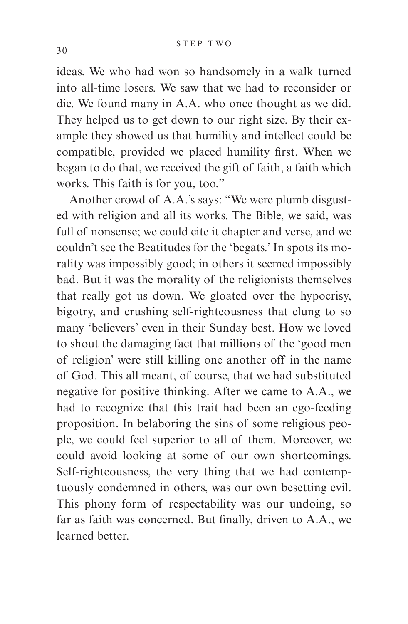ideas. We who had won so handsomely in a walk turned into all-time losers. We saw that we had to reconsider or die. We found many in A.A. who once thought as we did. They helped us to get down to our right size. By their example they showed us that humility and intellect could be compatible, provided we placed humility first. When we began to do that, we received the gift of faith, a faith which works. This faith is for you, too."

Another crowd of A.A.'s says: "We were plumb disgusted with religion and all its works. The Bible, we said, was full of nonsense; we could cite it chapter and verse, and we couldn't see the Beatitudes for the 'begats.' In spots its morality was impossibly good; in others it seemed impossibly bad. But it was the morality of the religionists themselves that really got us down. We gloated over the hypocrisy, bigotry, and crushing self-righteousness that clung to so many 'believers' even in their Sunday best. How we loved to shout the damaging fact that millions of the 'good men of religion' were still killing one another off in the name of God. This all meant, of course, that we had substituted negative for positive thinking. After we came to A.A., we had to recognize that this trait had been an ego-feeding proposition. In belaboring the sins of some religious people, we could feel superior to all of them. Moreover, we could avoid looking at some of our own shortcomings. Self-righteousness, the very thing that we had contemptuously condemned in others, was our own besetting evil. This phony form of respectability was our undoing, so far as faith was concerned. But finally, driven to A.A., we learned better.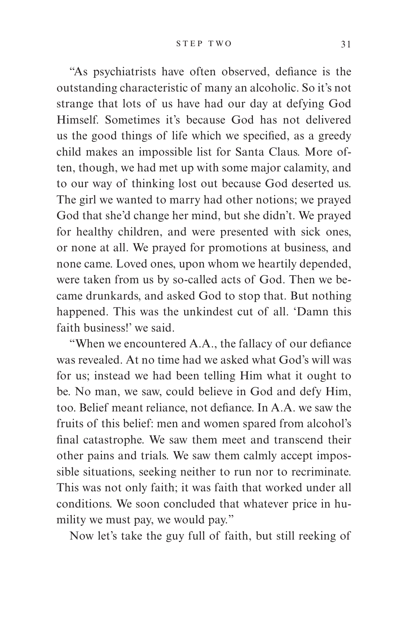"As psychiatrists have often observed, defiance is the outstanding characteristic of many an alcoholic. So it's not strange that lots of us have had our day at defying God Himself. Sometimes it's because God has not delivered us the good things of life which we specified, as a greedy child makes an impossible list for Santa Claus. More often, though, we had met up with some major calamity, and to our way of thinking lost out because God deserted us. The girl we wanted to marry had other notions; we prayed God that she'd change her mind, but she didn't. We prayed for healthy children, and were presented with sick ones, or none at all. We prayed for promotions at business, and none came. Loved ones, upon whom we heartily depended, were taken from us by so-called acts of God. Then we became drunkards, and asked God to stop that. But nothing happened. This was the unkindest cut of all. 'Damn this faith business!' we said.

"When we encountered A.A., the fallacy of our defiance" was revealed. At no time had we asked what God's will was for us; instead we had been telling Him what it ought to be. No man, we saw, could believe in God and defy Him, too. Belief meant reliance, not defiance. In A.A. we saw the fruits of this belief: men and women spared from alcohol's final catastrophe. We saw them meet and transcend their other pains and trials. We saw them calmly accept impossible situations, seeking neither to run nor to recriminate. This was not only faith; it was faith that worked under all conditions. We soon concluded that whatever price in humility we must pay, we would pay."

Now let's take the guy full of faith, but still reeking of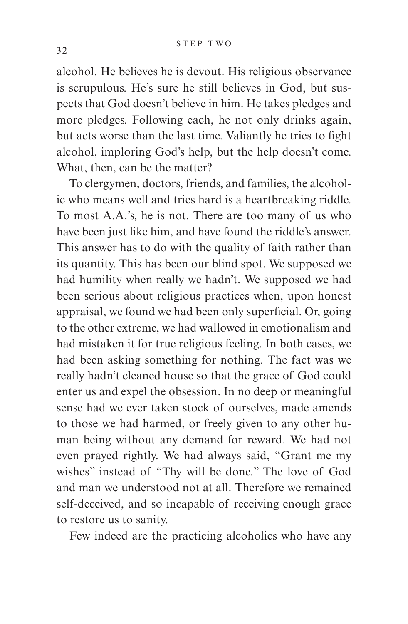alcohol. He believes he is devout. His religious observance is scrupulous. He's sure he still believes in God, but suspects that God doesn't believe in him. He takes pledges and more pledges. Following each, he not only drinks again, but acts worse than the last time. Valiantly he tries to fight alcohol, imploring God's help, but the help doesn't come. What, then, can be the matter?

To clergymen, doctors, friends, and families, the alcoholic who means well and tries hard is a heartbreaking riddle. To most A.A.'s, he is not. There are too many of us who have been just like him, and have found the riddle's answer. This answer has to do with the quality of faith rather than its quantity. This has been our blind spot. We supposed we had humility when really we hadn't. We supposed we had been serious about religious practices when, upon honest appraisal, we found we had been only superficial. Or, going to the other extreme, we had wallowed in emotionalism and had mistaken it for true religious feeling. In both cases, we had been asking something for nothing. The fact was we really hadn't cleaned house so that the grace of God could enter us and expel the obsession. In no deep or meaningful sense had we ever taken stock of ourselves, made amends to those we had harmed, or freely given to any other human being without any demand for reward. We had not even prayed rightly. We had always said, "Grant me my wishes" instead of "Thy will be done." The love of God and man we understood not at all. Therefore we remained self-deceived, and so incapable of receiving enough grace to restore us to sanity.

Few indeed are the practicing alcoholics who have any